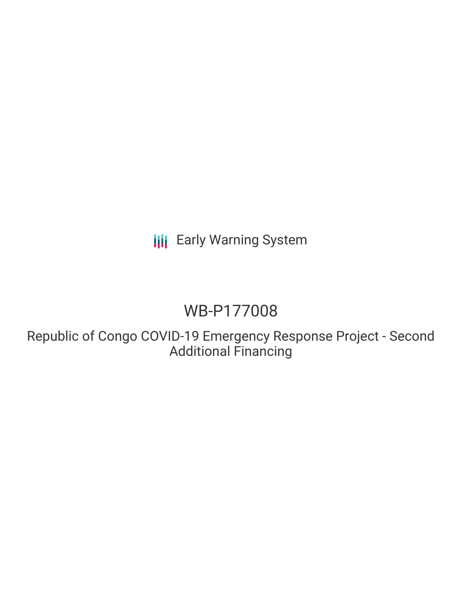**III** Early Warning System

## WB-P177008

Republic of Congo COVID-19 Emergency Response Project - Second Additional Financing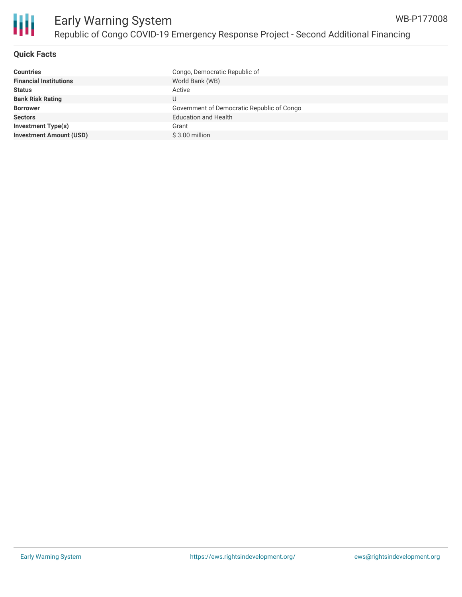

#### **Quick Facts**

| Congo, Democratic Republic of              |
|--------------------------------------------|
| World Bank (WB)                            |
| Active                                     |
| U                                          |
| Government of Democratic Republic of Congo |
| <b>Education and Health</b>                |
| Grant                                      |
| $$3.00$ million                            |
|                                            |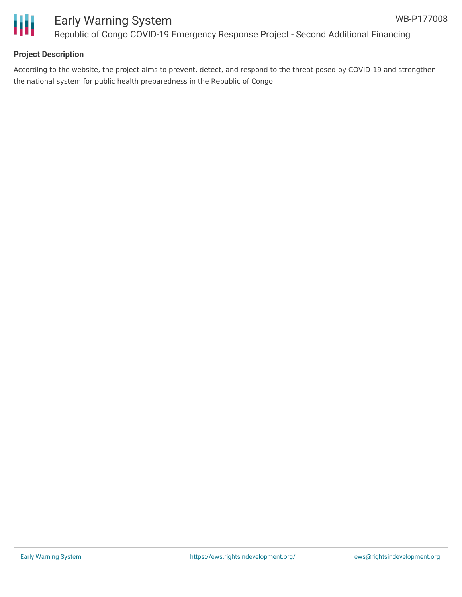



#### **Project Description**

According to the website, the project aims to prevent, detect, and respond to the threat posed by COVID-19 and strengthen the national system for public health preparedness in the Republic of Congo.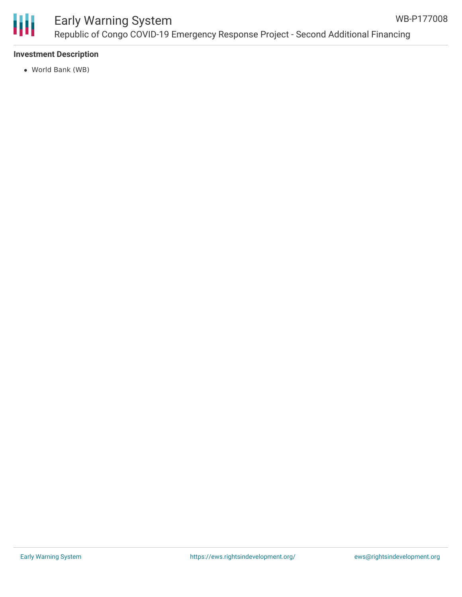

### Early Warning System Republic of Congo COVID-19 Emergency Response Project - Second Additional Financing

#### **Investment Description**

World Bank (WB)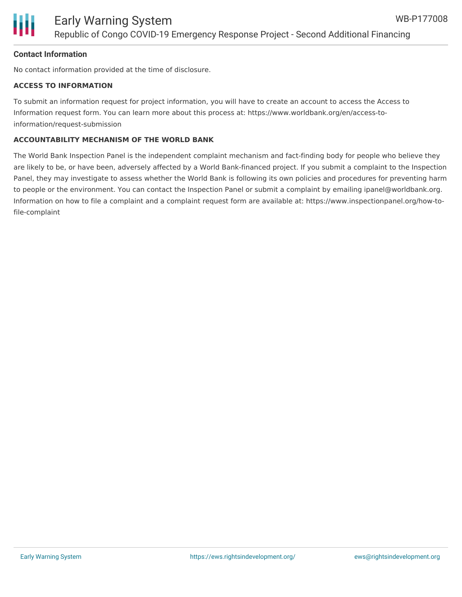#### **Contact Information**

No contact information provided at the time of disclosure.

#### **ACCESS TO INFORMATION**

To submit an information request for project information, you will have to create an account to access the Access to Information request form. You can learn more about this process at: https://www.worldbank.org/en/access-toinformation/request-submission

#### **ACCOUNTABILITY MECHANISM OF THE WORLD BANK**

The World Bank Inspection Panel is the independent complaint mechanism and fact-finding body for people who believe they are likely to be, or have been, adversely affected by a World Bank-financed project. If you submit a complaint to the Inspection Panel, they may investigate to assess whether the World Bank is following its own policies and procedures for preventing harm to people or the environment. You can contact the Inspection Panel or submit a complaint by emailing ipanel@worldbank.org. Information on how to file a complaint and a complaint request form are available at: https://www.inspectionpanel.org/how-tofile-complaint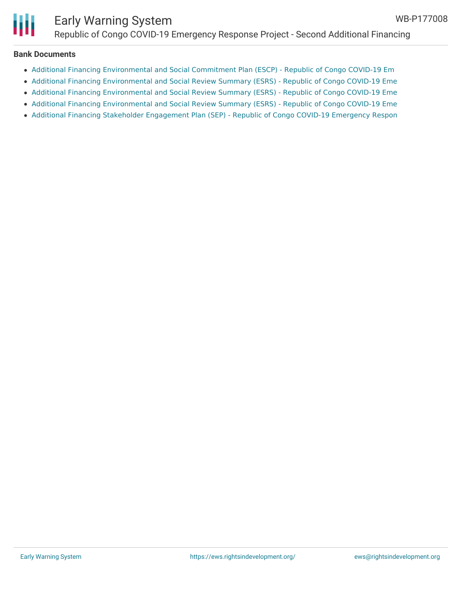

# Early Warning System

Republic of Congo COVID-19 Emergency Response Project - Second Additional Financing

#### **Bank Documents**

- Additional Financing [Environmental](http://documents.worldbank.org/curated/en/099415002082230014/Additional0Fin0Financing000P177008) and Social Commitment Plan (ESCP) Republic of Congo COVID-19 Em
- Additional Financing [Environmental](http://documents.worldbank.org/curated/en/099420002082229233/Additional0Fin00Financing000P177008) and Social Review Summary (ESRS) Republic of Congo COVID-19 Eme
- Additional Financing [Environmental](http://documents.worldbank.org/curated/en/309961636711731747/Project-Information-Document-Republic-of-Congo-COVID-19-Emergency-Response-Project-Second-Additional-Financing-P177008) and Social Review Summary (ESRS) Republic of Congo COVID-19 Eme
- Additional Financing [Environmental](http://documents.worldbank.org/curated/en/500711629167246396/Additional-Financing-Environmental-and-Social-Review-Summary-ESRS-Republic-of-Congo-COVID-19-Emergency-Response-Project-Second-Additional-F) and Social Review Summary (ESRS) Republic of Congo COVID-19 Eme
- Additional Financing Stakeholder [Engagement](http://documents.worldbank.org/curated/en/099420102082270458/Additional0Fin0Financing000P177008) Plan (SEP) Republic of Congo COVID-19 Emergency Respon